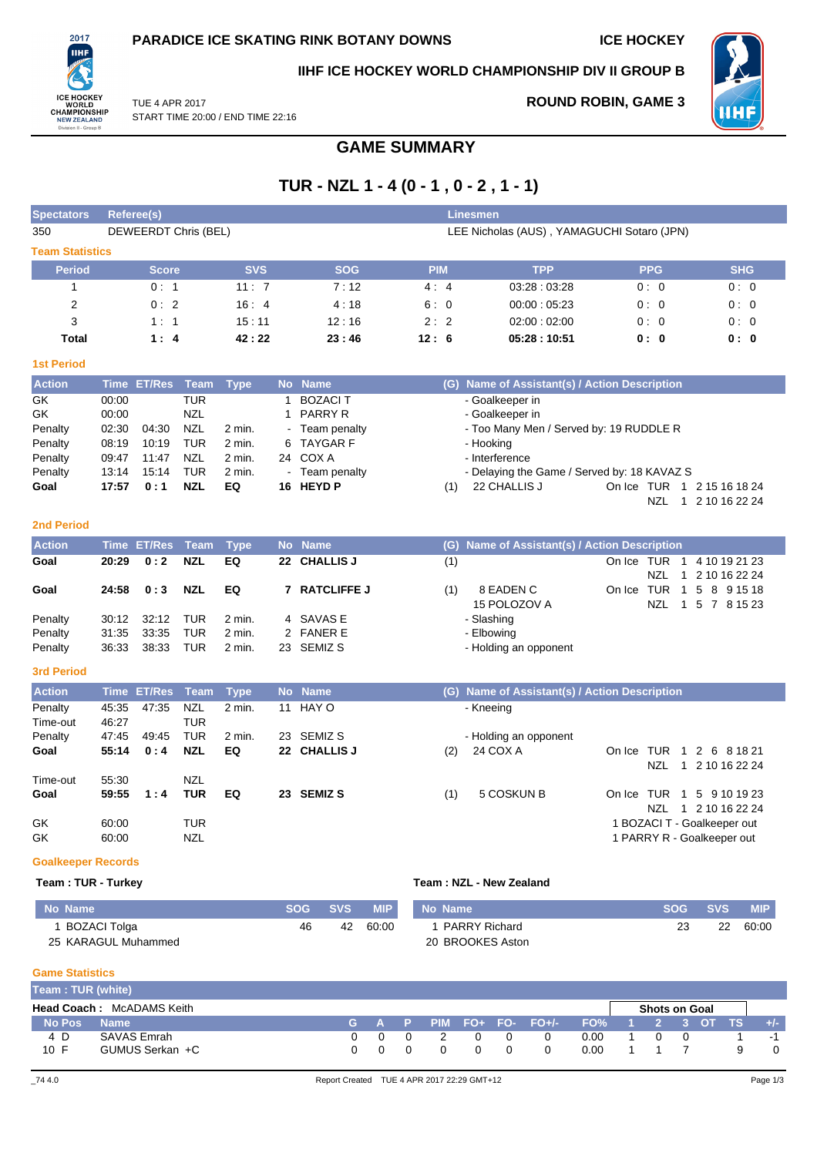**ROUND ROBIN, GAME 3**



## **IIHF ICE HOCKEY WORLD CHAMPIONSHIP DIV II GROUP B**



NZL 1 5 7 8 15 23

TUE 4 APR 2017 START TIME 20:00 / END TIME 22:16

# **GAME SUMMARY**

# **TUR - NZL 1 - 4 (0 - 1 , 0 - 2 , 1 - 1)**

| <b>Spectators</b>      |             | <b>Referee(s)</b>    |            |             |           |                    |            |     | <b>Linesmen</b>                             |            |                            |                  |
|------------------------|-------------|----------------------|------------|-------------|-----------|--------------------|------------|-----|---------------------------------------------|------------|----------------------------|------------------|
| 350                    |             | DEWEERDT Chris (BEL) |            |             |           |                    |            |     | LEE Nicholas (AUS), YAMAGUCHI Sotaro (JPN)  |            |                            |                  |
| <b>Team Statistics</b> |             |                      |            |             |           |                    |            |     |                                             |            |                            |                  |
| <b>Period</b>          |             | <b>Score</b>         |            | <b>SVS</b>  |           | <b>SOG</b>         | <b>PIM</b> |     | <b>TPP</b>                                  |            | <b>PPG</b>                 | <b>SHG</b>       |
| 1                      |             | 0:1                  |            | 11:7        |           | 7:12               | 4:4        |     | 03:28:03:28                                 |            | 0:0                        | 0:0              |
| 2                      |             | 0:2                  |            | 16:4        |           | 4:18               | 6:0        |     | 00:00:05:23                                 |            | 0:0                        | 0:0              |
| 3                      |             | 1:1                  |            | 15:11       |           | 12:16              | 2:2        |     | 02:00:02:00                                 |            | 0:0                        | 0:0              |
| <b>Total</b>           |             | 1:4                  |            | 42:22       |           | 23:46              | 12:6       |     | 05:28:10:51                                 |            | 0: 0                       | 0: 0             |
| <b>1st Period</b>      |             |                      |            |             |           |                    |            |     |                                             |            |                            |                  |
| <b>Action</b>          | <b>Time</b> | <b>ET/Res</b>        | Team       | <b>Type</b> | <b>No</b> | <b>Name</b>        |            | (G) | Name of Assistant(s) / Action Description   |            |                            |                  |
| GK                     | 00:00       |                      | <b>TUR</b> |             |           | <b>BOZACIT</b>     |            |     | - Goalkeeper in                             |            |                            |                  |
| GK                     | 00:00       |                      | <b>NZL</b> |             | 1         | <b>PARRY R</b>     |            |     | - Goalkeeper in                             |            |                            |                  |
| Penalty                | 02:30       | 04:30                | <b>NZL</b> | 2 min.      |           | - Team penalty     |            |     | - Too Many Men / Served by: 19 RUDDLE R     |            |                            |                  |
| Penalty                | 08:19       | 10:19                | <b>TUR</b> | $2$ min.    | 6         | <b>TAYGAR F</b>    |            |     | - Hooking                                   |            |                            |                  |
| Penalty                | 09:47       | 11:47                | <b>NZL</b> | 2 min.      |           | 24 COX A           |            |     | - Interference                              |            |                            |                  |
| Penalty                | 13:14       | 15:14                | <b>TUR</b> | $2$ min.    |           | - Team penalty     |            |     | - Delaying the Game / Served by: 18 KAVAZ S |            |                            |                  |
| Goal                   | 17:57       | 0:1                  | <b>NZL</b> | EQ          |           | 16 HEYD P          |            | (1) | 22 CHALLIS J                                | On Ice TUR | $\overline{1}$             | 2 15 16 18 24    |
|                        |             |                      |            |             |           |                    |            |     |                                             |            | <b>NZL</b><br>$\mathbf{1}$ | 2 10 16 22 24    |
| <b>2nd Period</b>      |             |                      |            |             |           |                    |            |     |                                             |            |                            |                  |
| <b>Action</b>          | <b>Time</b> | <b>ET/Res</b>        | Team       | <b>Type</b> | <b>No</b> | <b>Name</b>        |            | (G) | Name of Assistant(s) / Action Description   |            |                            |                  |
| Goal                   | 20:29       | 0:2                  | <b>NZL</b> | EQ          | 22        | <b>CHALLIS J</b>   |            | (1) |                                             | On Ice TUR | 1                          | 4 10 19 21 23    |
|                        |             |                      |            |             |           |                    |            |     |                                             |            | <b>NZL</b>                 | 2 10 16 22 24    |
| Goal                   | 24:58       | 0:3                  | <b>NZL</b> | EQ          | 7         | <b>RATCLIFFE J</b> |            | (1) | 8 EADEN C                                   | On Ice     | TUR<br>1                   | 5<br>8 9 1 5 1 8 |

| ovar    |  |                        | 4, U.J. NAL LW / INTIULIILU | $\cdots$<br><b>ULADLIVU</b> |
|---------|--|------------------------|-----------------------------|-----------------------------|
|         |  |                        |                             | 15 POLOZOV A                |
| Penalty |  | 30:12 32:12 TUR 2 min. | 4 SAVAS E                   | - Slashing                  |
| Penalty |  | 31:35 33:35 TUR 2 min. | 2 FANER E                   | - Elbowina                  |
| Penalty |  | 36:33 38:33 TUR 2 min. | 23 SEMIZ S                  | - Holding an opponent       |
|         |  |                        |                             |                             |

## **3rd Period**

| <b>Action</b> |       | Time ET/Res Team |            | Type   |    | No Name      |     | (G) Name of Assistant(s) / Action Description |            |                |                             |  |
|---------------|-------|------------------|------------|--------|----|--------------|-----|-----------------------------------------------|------------|----------------|-----------------------------|--|
| Penalty       | 45:35 | 47:35            | <b>NZL</b> | 2 min. |    | 11 HAY O     |     | - Kneeing                                     |            |                |                             |  |
| Time-out      | 46:27 |                  | TUR        |        |    |              |     |                                               |            |                |                             |  |
| Penalty       | 47:45 | 49.45            | <b>TUR</b> | 2 min. | 23 | SEMIZ S      |     | - Holding an opponent                         |            |                |                             |  |
| Goal          | 55:14 | 0:4              | <b>NZL</b> | EQ     |    | 22 CHALLIS J | (2) | 24 COX A                                      | On Ice     | TUR            | 1 2 6 8 18 21               |  |
|               |       |                  |            |        |    |              |     |                                               |            | NZL<br>1.      | 2 10 16 22 24               |  |
| Time-out      | 55.30 |                  | <b>NZL</b> |        |    |              |     |                                               |            |                |                             |  |
| Goal          | 59:55 | 1:4              | TUR        | EQ     |    | 23 SEMIZ S   | (1) | 5 COSKUN B                                    | On Ice TUR | $\overline{1}$ | 5 9 10 19 23                |  |
|               |       |                  |            |        |    |              |     |                                               |            | NZL<br>1.      | 2 10 16 22 24               |  |
| GK            | 60:00 |                  | <b>TUR</b> |        |    |              |     |                                               |            |                | 1 BOZACI T - Goalkeeper out |  |
| GK            | 60:00 |                  | <b>NZL</b> |        |    |              |     |                                               |            |                | 1 PARRY R - Goalkeeper out  |  |
|               |       |                  |            |        |    |              |     |                                               |            |                |                             |  |

### **Goalkeeper Records**

#### **Team : TUR - Turkey Team : NZL - New Zealand**

| No Name             | <b>SOG</b> | <b>SVS</b> | <b>MIP</b> | No Name              | <b>SOG</b> | <b>SVS</b> | <b>MIP</b> |
|---------------------|------------|------------|------------|----------------------|------------|------------|------------|
| BOZACI Tolga        | 46         | 42         | 60:00      | <b>PARRY Richard</b> |            | 22         | 60:00      |
| 25 KARAGUL Muhammed |            |            |            | 20 BROOKES Aston     |            |            |            |

**Game Statistics**

| Team: TUR (white) |                                  |       |  |   |                            |      |                      |  |           |       |
|-------------------|----------------------------------|-------|--|---|----------------------------|------|----------------------|--|-----------|-------|
|                   | <b>Head Coach: McADAMS Keith</b> |       |  |   |                            |      | <b>Shots on Goal</b> |  |           |       |
| No Pos            | <b>Name</b>                      | G A P |  |   | PIM FO $+$ FO $-$ FO $+/-$ | FO%  | 1 2 3 OT             |  | <b>TS</b> | $+/-$ |
| 4 D               | SAVAS Emrah                      |       |  | 0 |                            | 0.00 |                      |  |           | -1    |
| 10 F              | GUMUS Serkan +C                  |       |  | 0 |                            | 0.00 |                      |  | q         |       |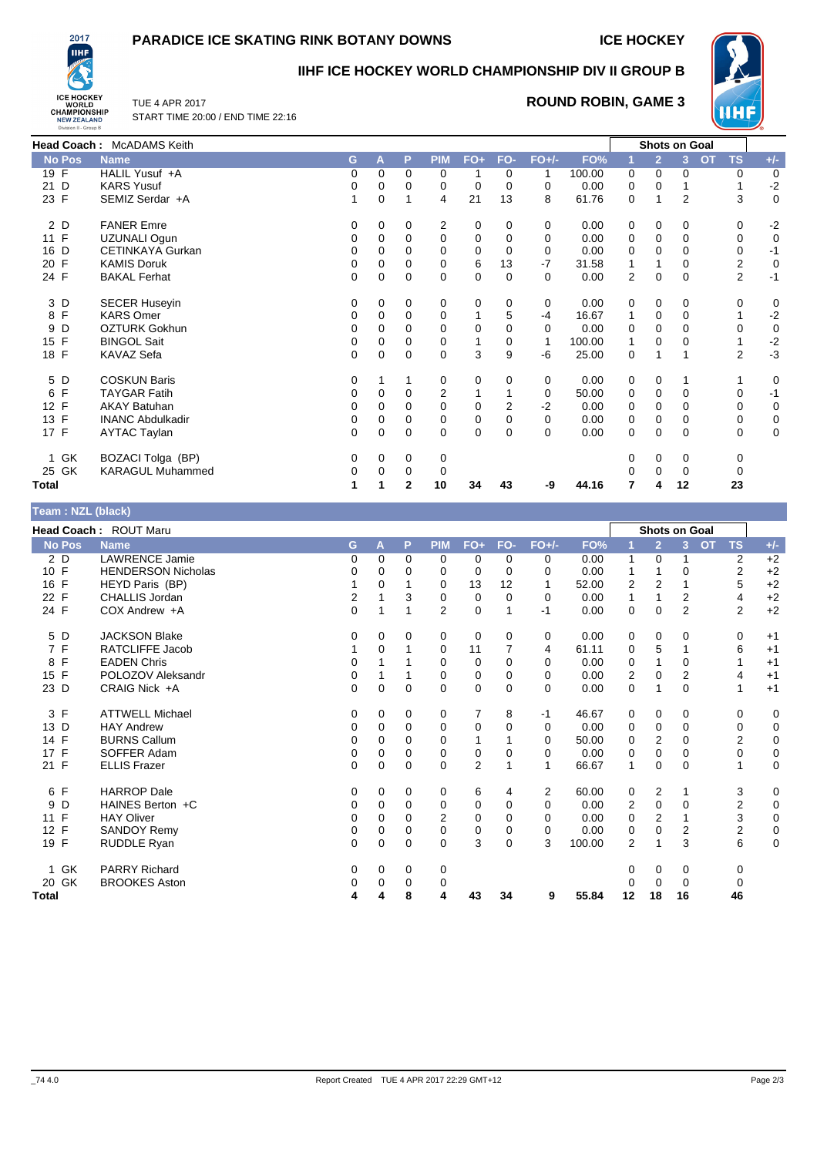## **PARADICE ICE SKATING RINK BOTANY DOWNS ICE HOCKEY**



## **IIHF ICE HOCKEY WORLD CHAMPIONSHIP DIV II GROUP B**



TUE 4 APR 2017 START TIME 20:00 / END TIME 22:16

## **ROUND ROBIN, GAME 3**

|        | Head Coach: McADAMS Keith |          |          |          |                |             |          |          |        |                |                | Shots on Goal  |                        |          |
|--------|---------------------------|----------|----------|----------|----------------|-------------|----------|----------|--------|----------------|----------------|----------------|------------------------|----------|
| No Pos | <b>Name</b>               | G        | AV       | P        | <b>PIM</b>     | $FO+$       | FO-      | $FO+/-$  | FO%    |                | $\overline{2}$ | $\overline{3}$ | <b>OT</b><br><b>TS</b> | $+/-$    |
| $19$ F | HALIL Yusuf +A            | $\Omega$ | 0        | $\Omega$ | 0              |             | $\Omega$ |          | 100.00 | 0              | $\Omega$       | $\Omega$       | 0                      | $\Omega$ |
| 21 D   | <b>KARS Yusuf</b>         | 0        | 0        | 0        | 0              | $\mathbf 0$ | 0        | 0        | 0.00   | 0              | 0              |                |                        | $-2$     |
| 23 F   | SEMIZ Serdar +A           |          | 0        | 1        | 4              | 21          | 13       | 8        | 61.76  | $\Omega$       | 1              | $\overline{2}$ | 3                      | $\Omega$ |
| 2 D    | <b>FANER Emre</b>         | 0        | 0        | 0        | $\overline{2}$ | 0           | $\Omega$ | 0        | 0.00   | 0              | 0              | 0              | 0                      | $-2$     |
| 11 F   | UZUNALI Ogun              | 0        | 0        | 0        | 0              | 0           | 0        | 0        | 0.00   | 0              | 0              | 0              | 0                      | 0        |
| 16 D   | <b>CETINKAYA Gurkan</b>   | 0        | 0        | 0        | 0              | 0           | 0        | 0        | 0.00   | 0              | 0              | 0              | 0                      |          |
| 20 F   | <b>KAMIS Doruk</b>        | 0        | 0        | 0        | 0              | 6           | 13       | $-7$     | 31.58  |                |                | 0              | 2                      | 0        |
| 24 F   | <b>BAKAL Ferhat</b>       | $\Omega$ | $\Omega$ | $\Omega$ | $\Omega$       | 0           | $\Omega$ | 0        | 0.00   | $\overline{2}$ | 0              | $\mathbf 0$    | $\overline{2}$         | -1       |
| 3 D    | <b>SECER Huseyin</b>      | 0        | 0        | 0        | 0              | 0           | 0        | 0        | 0.00   | 0              | 0              | 0              | 0                      | 0        |
| 8 F    | <b>KARS Omer</b>          | 0        | 0        | 0        | 0              |             | 5        | $-4$     | 16.67  | 1              | 0              | 0              |                        | $-2$     |
| 9 D    | <b>OZTURK Gokhun</b>      | 0        | 0        | 0        | 0              | 0           | $\Omega$ | 0        | 0.00   | 0              | $\Omega$       | $\Omega$       | 0                      | 0        |
| 15 F   | <b>BINGOL Sait</b>        | 0        | 0        | 0        | 0              |             | 0        |          | 100.00 | 1              | 0              | $\Omega$       |                        | $-2$     |
| 18 F   | KAVAZ Sefa                | 0        | 0        | 0        | 0              | 3           | 9        | $-6$     | 25.00  | 0              | 1              |                | $\overline{2}$         | $-3$     |
| 5 D    | <b>COSKUN Baris</b>       | 0        |          |          | 0              | 0           | 0        | 0        | 0.00   | 0              | 0              |                |                        | 0        |
| 6 F    | <b>TAYGAR Fatih</b>       | 0        | $\Omega$ | 0        | 2              |             |          | 0        | 50.00  | 0              | 0              | $\Omega$       | $\Omega$               | -1       |
| 12 F   | <b>AKAY Batuhan</b>       | 0        | 0        | 0        | 0              | $\mathbf 0$ | 2        | $-2$     | 0.00   | 0              | 0              | 0              | 0                      | 0        |
| 13 F   | <b>INANC Abdulkadir</b>   | 0        | 0        | 0        | 0              | $\mathbf 0$ | $\Omega$ | 0        | 0.00   | 0              | $\mathbf 0$    | 0              | 0                      | 0        |
| 17 F   | <b>AYTAC Taylan</b>       | $\Omega$ | $\Omega$ | $\Omega$ | $\Omega$       | $\Omega$    | $\Omega$ | $\Omega$ | 0.00   | $\Omega$       | 0              | $\Omega$       | $\Omega$               | 0        |
| 1 GK   | BOZACI Tolga (BP)         | 0        | 0        | 0        | 0              |             |          |          |        | 0              | 0              | 0              | 0                      |          |
| 25 GK  | <b>KARAGUL Muhammed</b>   | 0        | $\Omega$ | 0        | 0              |             |          |          |        | O              | 0              | $\mathbf 0$    | 0                      |          |
| Total  |                           |          |          | 2        | 10             | 34          | 43       | -9       | 44.16  | 7              | 4              | 12             | 23                     |          |

|  | Team: NZL (black) |
|--|-------------------|
|  |                   |

| $1$ valit $1$ is the provided |                           |             |          |          |                |                |          |             |        |                |                |                      |                        |             |
|-------------------------------|---------------------------|-------------|----------|----------|----------------|----------------|----------|-------------|--------|----------------|----------------|----------------------|------------------------|-------------|
|                               | Head Coach: ROUT Maru     |             |          |          |                |                |          |             |        |                |                | <b>Shots on Goal</b> |                        |             |
| <b>No Pos</b>                 | <b>Name</b>               | G           | A        | P        | <b>PIM</b>     | $FO+$          | FO-      | $FO+/-$     | FO%    | 1              | $\overline{2}$ | $\overline{3}$       | <b>TS</b><br><b>OT</b> | $+/-$       |
| 2 D                           | <b>LAWRENCE Jamie</b>     | 0           | $\Omega$ | 0        | 0              | 0              | $\Omega$ | 0           | 0.00   |                | 0              |                      | $\overline{2}$         | $+2$        |
| 10 F                          | <b>HENDERSON Nicholas</b> | 0           | 0        | 0        | 0              | 0              | $\Omega$ | 0           | 0.00   |                |                | 0                    | $\overline{2}$         | $+2$        |
| 16 F                          | HEYD Paris (BP)           |             | $\Omega$ |          | $\Omega$       | 13             | 12       | 1           | 52.00  | 2              | $\overline{2}$ |                      | 5                      | $+2$        |
| 22 F                          | <b>CHALLIS Jordan</b>     | 2           |          | 3        | 0              | 0              | $\Omega$ | $\mathbf 0$ | 0.00   |                | 1              | 2                    | 4                      | $+2$        |
| 24 F                          | COX Andrew +A             | $\Omega$    |          |          | $\overline{2}$ | $\mathbf 0$    |          | -1          | 0.00   | $\mathbf 0$    | $\mathbf 0$    | 2                    | $\overline{2}$         | $+2$        |
| 5 D                           | <b>JACKSON Blake</b>      | 0           | 0        | 0        | 0              | 0              | 0        | 0           | 0.00   | 0              | 0              | 0                    | 0                      | $+1$        |
| 7 F                           | <b>RATCLIFFE Jacob</b>    |             | 0        |          | 0              | 11             | 7        | 4           | 61.11  | 0              | 5              |                      | 6                      | $+1$        |
| F<br>8                        | <b>EADEN Chris</b>        | 0           |          |          | $\Omega$       | 0              | $\Omega$ | 0           | 0.00   | $\Omega$       | 1              | 0                    | 1                      | $+1$        |
| 15 F                          | POLOZOV Aleksandr         | 0           |          |          | 0              | 0              | 0        | 0           | 0.00   | 2              | 0              | 2                    | 4                      | $+1$        |
| 23 D                          | CRAIG Nick +A             | $\Omega$    | $\Omega$ | $\Omega$ | $\Omega$       | $\mathbf 0$    | $\Omega$ | 0           | 0.00   | $\Omega$       | $\mathbf{1}$   | $\Omega$             | 1                      | $+1$        |
| 3 F                           | <b>ATTWELL Michael</b>    | 0           | 0        | 0        | 0              | 7              | 8        | $-1$        | 46.67  | 0              | 0              | 0                    | 0                      | 0           |
| 13 D                          | <b>HAY Andrew</b>         | 0           | 0        | $\Omega$ | 0              | 0              | 0        | 0           | 0.00   | 0              | 0              | 0                    | 0                      | 0           |
| 14 F                          | <b>BURNS Callum</b>       | 0           | 0        | 0        | $\Omega$       | 1              |          | 0           | 50.00  | 0              | $\overline{2}$ | 0                    | $\overline{2}$         | 0           |
| 17 F                          | SOFFER Adam               | $\Omega$    | 0        | 0        | 0              | 0              | 0        | 0           | 0.00   | 0              | $\mathbf{0}$   | 0                    | $\mathbf 0$            | 0           |
| 21 F                          | <b>ELLIS Frazer</b>       | $\Omega$    | $\Omega$ | $\Omega$ | $\Omega$       | $\overline{2}$ |          | 1           | 66.67  | 1              | 0              | $\Omega$             | 1                      | $\Omega$    |
| 6 F                           | <b>HARROP</b> Dale        | 0           | 0        | 0        | 0              | 6              | 4        | 2           | 60.00  | 0              | $\overline{2}$ |                      | 3                      | 0           |
| D<br>9                        | HAINES Berton +C          | 0           | $\Omega$ | 0        | 0              | 0              | 0        | 0           | 0.00   | 2              | $\mathbf 0$    | 0                    | $\overline{2}$         | 0           |
| F<br>11                       | <b>HAY Oliver</b>         | 0           | $\Omega$ | 0        | $\overline{2}$ | 0              | 0        | 0           | 0.00   | 0              | $\overline{2}$ |                      | 3                      | 0           |
| 12 F                          | <b>SANDOY Remy</b>        | $\mathbf 0$ | $\Omega$ | 0        | $\mathbf 0$    | $\mathbf 0$    | 0        | 0           | 0.00   | 0              | 0              | 2                    | $\overline{2}$         | $\mathbf 0$ |
| 19 F                          | RUDDLE Ryan               | $\Omega$    | $\Omega$ | 0        | $\Omega$       | 3              | $\Omega$ | 3           | 100.00 | $\overline{2}$ | 1              | 3                    | 6                      | $\mathbf 0$ |
| GK<br>1                       | <b>PARRY Richard</b>      | 0           | 0        | 0        | 0              |                |          |             |        | 0              | 0              | 0                    | 0                      |             |
| 20 GK                         | <b>BROOKES Aston</b>      | 0           | 0        | 0        | 0              |                |          |             |        | 0              | $\Omega$       | 0                    | 0                      |             |
| <b>Total</b>                  |                           | 4           | 4        | 8        | 4              | 43             | 34       | 9           | 55.84  | 12             | 18             | 16                   | 46                     |             |